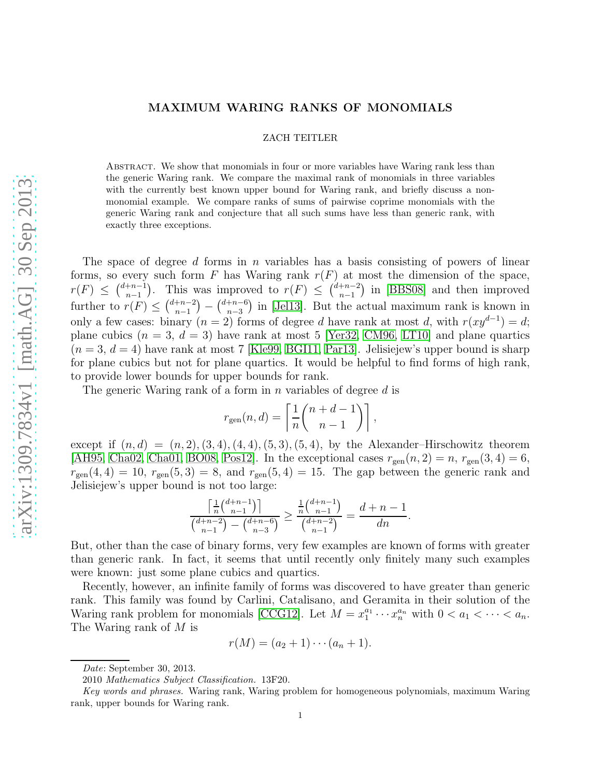# MAXIMUM WARING RANKS OF MONOMIALS

## ZACH TEITLER

Abstract. We show that monomials in four or more variables have Waring rank less than the generic Waring rank. We compare the maximal rank of monomials in three variables with the currently best known upper bound for Waring rank, and briefly discuss a nonmonomial example. We compare ranks of sums of pairwise coprime monomials with the generic Waring rank and conjecture that all such sums have less than generic rank, with exactly three exceptions.

The space of degree d forms in n variables has a basis consisting of powers of linear forms, so every such form F has Waring rank  $r(F)$  at most the dimension of the space,  $r(F) \leq {d+n-1 \choose n-1}$  $\binom{+n-1}{n-1}$ . This was improved to  $r(F) \leq \binom{d+n-2}{n-1}$  $\binom{+n-2}{n-1}$  in [\[BBS08\]](#page-6-0) and then improved further to  $r(F) \leq {d+n-2 \choose n-1}$  $\binom{+n-2}{n-1} - \binom{d+n-6}{n-3}$  $\binom{n-6}{n-3}$  in [\[Jel13\]](#page-6-1). But the actual maximum rank is known in only a few cases: binary  $(n = 2)$  forms of degree d have rank at most d, with  $r(xy^{d-1}) = d$ ; plane cubics  $(n = 3, d = 3)$  have rank at most 5 [\[Yer32,](#page-6-2) [CM96,](#page-6-3) [LT10\]](#page-6-4) and plane quartics  $(n = 3, d = 4)$  have rank at most 7 [\[Kle99,](#page-6-5) [BGI11,](#page-6-6) [Par13\]](#page-6-7). Jelisiejew's upper bound is sharp for plane cubics but not for plane quartics. It would be helpful to find forms of high rank, to provide lower bounds for upper bounds for rank.

The generic Waring rank of a form in  $n$  variables of degree  $d$  is

$$
r_{\text{gen}}(n,d) = \left\lceil \frac{1}{n} {n+d-1 \choose n-1} \right\rceil,
$$

except if  $(n, d) = (n, 2), (3, 4), (4, 4), (5, 3), (5, 4)$ , by the Alexander–Hirschowitz theorem [\[AH95,](#page-6-8) [Cha02,](#page-6-9) [Cha01,](#page-6-10) [BO08,](#page-6-11) [Pos12\]](#page-6-12). In the exceptional cases  $r_{gen}(n, 2) = n$ ,  $r_{gen}(3, 4) = 6$ ,  $r_{\text{gen}}(4, 4) = 10$ ,  $r_{\text{gen}}(5, 3) = 8$ , and  $r_{\text{gen}}(5, 4) = 15$ . The gap between the generic rank and Jelisiejew's upper bound is not too large:

$$
\frac{\left\lceil\frac{1}{n}\binom{d+n-1}{n-1}\right\rceil}{\binom{d+n-2}{n-1}-\binom{d+n-6}{n-3}} \ge \frac{\frac{1}{n}\binom{d+n-1}{n-1}}{\binom{d+n-2}{n-1}} = \frac{d+n-1}{dn}.
$$

But, other than the case of binary forms, very few examples are known of forms with greater than generic rank. In fact, it seems that until recently only finitely many such examples were known: just some plane cubics and quartics.

Recently, however, an infinite family of forms was discovered to have greater than generic rank. This family was found by Carlini, Catalisano, and Geramita in their solution of the Waring rank problem for monomials [\[CCG12\]](#page-6-13). Let  $M = x_1^{a_1}$  $a_1^{a_1} \cdots x_n^{a_n}$  with  $0 < a_1 < \cdots < a_n$ . The Waring rank of M is

$$
r(M) = (a_2 + 1) \cdots (a_n + 1).
$$

Date: September 30, 2013.

<sup>2010</sup> Mathematics Subject Classification. 13F20.

Key words and phrases. Waring rank, Waring problem for homogeneous polynomials, maximum Waring rank, upper bounds for Waring rank.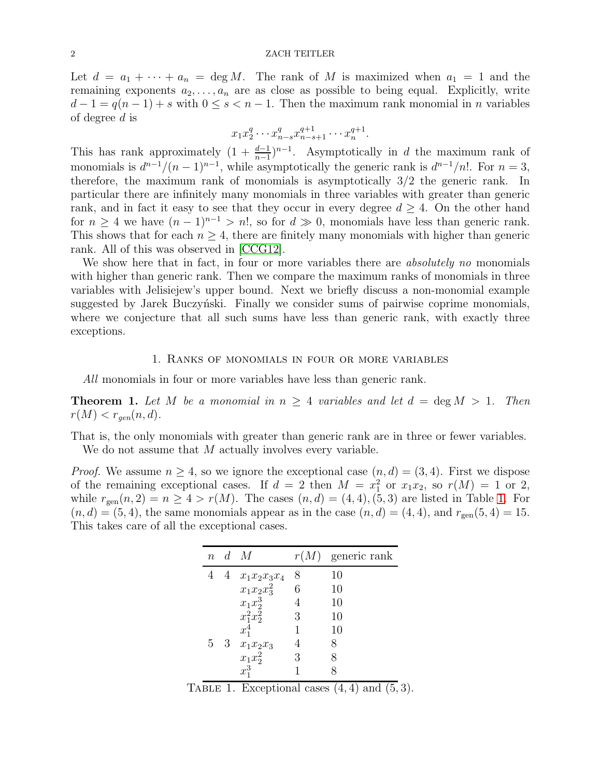Let  $d = a_1 + \cdots + a_n = \deg M$ . The rank of M is maximized when  $a_1 = 1$  and the remaining exponents  $a_2, \ldots, a_n$  are as close as possible to being equal. Explicitly, write  $d-1 = q(n-1) + s$  with  $0 \leq s < n-1$ . Then the maximum rank monomial in *n* variables of degree  $d$  is

$$
x_1 x_2^{q} \cdots x_{n-s}^{q} x_{n-s+1}^{q+1} \cdots x_n^{q+1}.
$$

This has rank approximately  $(1 + \frac{d-1}{n-1})^{n-1}$ . Asymptotically in d the maximum rank of monomials is  $d^{n-1}/(n-1)^{n-1}$ , while asymptotically the generic rank is  $d^{n-1}/n!$ . For  $n=3$ , therefore, the maximum rank of monomials is asymptotically 3/2 the generic rank. In particular there are infinitely many monomials in three variables with greater than generic rank, and in fact it easy to see that they occur in every degree  $d \geq 4$ . On the other hand for  $n > 4$  we have  $(n-1)^{n-1} > n!$ , so for  $d \gg 0$ , monomials have less than generic rank. This shows that for each  $n \geq 4$ , there are finitely many monomials with higher than generic rank. All of this was observed in [\[CCG12\]](#page-6-13).

We show here that in fact, in four or more variables there are *absolutely no* monomials with higher than generic rank. Then we compare the maximum ranks of monomials in three variables with Jelisiejew's upper bound. Next we briefly discuss a non-monomial example suggested by Jarek Buczynski. Finally we consider sums of pairwise coprime monomials, where we conjecture that all such sums have less than generic rank, with exactly three exceptions.

### 1. Ranks of monomials in four or more variables

*All* monomials in four or more variables have less than generic rank.

<span id="page-1-1"></span>**Theorem 1.** Let M be a monomial in  $n \geq 4$  variables and let  $d = \deg M > 1$ . Then  $r(M) < r_{gen}(n, d)$ .

That is, the only monomials with greater than generic rank are in three or fewer variables. We do not assume that M actually involves every variable.

*Proof.* We assume  $n \geq 4$ , so we ignore the exceptional case  $(n, d) = (3, 4)$ . First we dispose of the remaining exceptional cases. If  $d = 2$  then  $M = x_1^2$  or  $x_1x_2$ , so  $r(M) = 1$  or 2, while  $r_{gen}(n, 2) = n \ge 4 > r(M)$ . The cases  $(n, d) = (4, 4), (5, 3)$  are listed in Table [1.](#page-1-0) For  $(n, d) = (5, 4)$ , the same monomials appear as in the case  $(n, d) = (4, 4)$ , and  $r_{\text{gen}}(5, 4) = 15$ . This takes care of all the exceptional cases.

| $\, n$ |   | $d \, M$       |   | $r(M)$ generic rank |
|--------|---|----------------|---|---------------------|
|        | 4 | $x_1x_2x_3x_4$ | 8 | 10                  |
|        |   | $x_1x_2x_3^2$  | 6 | 10                  |
|        |   | $x_1x_2^3$     |   | 10                  |
|        |   | $x_1^2x_2^2$   | 3 | 10                  |
|        |   | $x_1^4$        |   | 10                  |
| 5      | 3 | $x_1x_2x_3$    |   | 8                   |
|        |   | $x_1x_2^2$     | 3 |                     |
|        |   | $x_1^3$        |   |                     |

<span id="page-1-0"></span>TABLE 1. Exceptional cases  $(4, 4)$  and  $(5, 3)$ .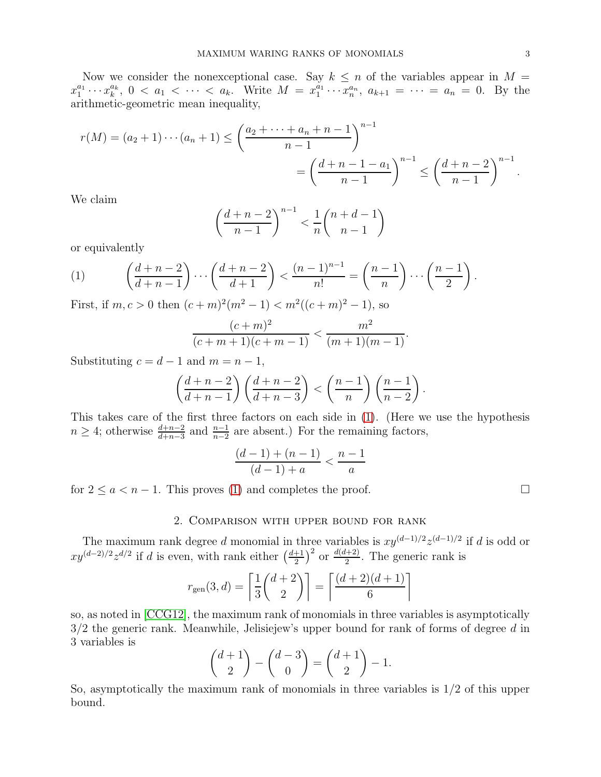Now we consider the nonexceptional case. Say  $k \leq n$  of the variables appear in  $M =$  $x_1^{a_1}$  $x_1^{a_1} \cdots x_k^{a_k}$  $\frac{a_k}{k}, 0 < a_1 < \cdots < a_k$ . Write  $M = x_1^{a_1}$  $a_1^{a_1} \cdots a_n^{a_n}$ ,  $a_{k+1} = \cdots = a_n = 0$ . By the arithmetic-geometric mean inequality,

$$
r(M) = (a_2 + 1) \cdots (a_n + 1) \le \left(\frac{a_2 + \cdots + a_n + n - 1}{n - 1}\right)^{n - 1}
$$
  
=  $\left(\frac{d + n - 1 - a_1}{n - 1}\right)^{n - 1} \le \left(\frac{d + n - 2}{n - 1}\right)^{n - 1}.$ 

We claim

$$
\left(\frac{d+n-2}{n-1}\right)^{n-1} < \frac{1}{n} \binom{n+d-1}{n-1}
$$

or equivalently

<span id="page-2-0"></span>(1) 
$$
\left(\frac{d+n-2}{d+n-1}\right)\cdots\left(\frac{d+n-2}{d+1}\right) < \frac{(n-1)^{n-1}}{n!} = \left(\frac{n-1}{n}\right)\cdots\left(\frac{n-1}{2}\right).
$$

First, if  $m, c > 0$  then  $(c+m)^2(m^2-1) < m^2((c+m)^2-1)$ , so

$$
\frac{(c+m)^2}{(c+m+1)(c+m-1)} < \frac{m^2}{(m+1)(m-1)}.
$$

Substituting  $c = d - 1$  and  $m = n - 1$ ,

$$
\left(\frac{d+n-2}{d+n-1}\right)\left(\frac{d+n-2}{d+n-3}\right) < \left(\frac{n-1}{n}\right)\left(\frac{n-1}{n-2}\right)
$$

This takes care of the first three factors on each side in [\(1\)](#page-2-0). (Here we use the hypothesis  $n \geq 4$ ; otherwise  $\frac{d+n-2}{d+n-3}$  and  $\frac{n-1}{n-2}$  are absent.) For the remaining factors,

$$
\frac{(d-1)+(n-1)}{(d-1)+a} < \frac{n-1}{a}
$$

for  $2 \le a < n-1$ . This proves [\(1\)](#page-2-0) and completes the proof.

# 2. Comparison with upper bound for rank

The maximum rank degree d monomial in three variables is  $xy^{(d-1)/2}z^{(d-1)/2}$  if d is odd or  $xy^{(d-2)/2}z^{d/2}$  if d is even, with rank either  $\left(\frac{d+1}{2}\right)$  $\frac{+1}{2}$  or  $\frac{d(d+2)}{2}$  $\frac{(n+2)}{2}$ . The generic rank is

$$
r_{gen}(3, d) = \left[\frac{1}{3}\binom{d+2}{2}\right] = \left[\frac{(d+2)(d+1)}{6}\right]
$$

so, as noted in [\[CCG12\]](#page-6-13), the maximum rank of monomials in three variables is asymptotically  $3/2$  the generic rank. Meanwhile, Jelisiejew's upper bound for rank of forms of degree d in 3 variables is

$$
\binom{d+1}{2} - \binom{d-3}{0} = \binom{d+1}{2} - 1.
$$

So, asymptotically the maximum rank of monomials in three variables is  $1/2$  of this upper bound.

.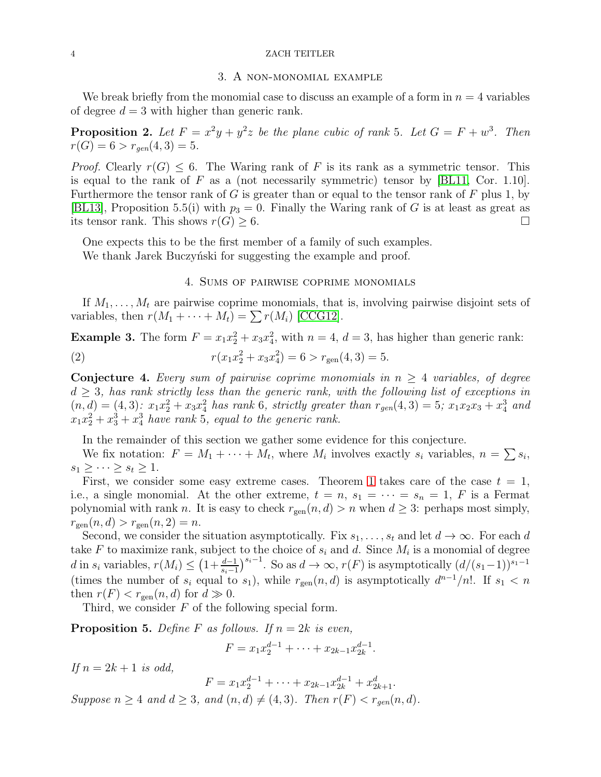#### 4 ZACH TEITLER

#### 3. A non-monomial example

We break briefly from the monomial case to discuss an example of a form in  $n = 4$  variables of degree  $d = 3$  with higher than generic rank.

**Proposition 2.** Let  $F = x^2y + y^2z$  be the plane cubic of rank 5. Let  $G = F + w^3$ . Then  $r(G) = 6 > r_{gen}(4, 3) = 5.$ 

*Proof.* Clearly  $r(G) \leq 6$ . The Waring rank of F is its rank as a symmetric tensor. This is equal to the rank of F as a (not necessarily symmetric) tensor by  $[BL11, Cor. 1.10]$ . Furthermore the tensor rank of G is greater than or equal to the tensor rank of F plus 1, by [\[BL13\]](#page-6-15), Proposition 5.5(i) with  $p_3 = 0$ . Finally the Waring rank of G is at least as great as its tensor rank. This shows  $r(G) \geq 6$ .

One expects this to be the first member of a family of such examples. We thank Jarek Buczyński for suggesting the example and proof.

# 4. Sums of pairwise coprime monomials

If  $M_1, \ldots, M_t$  are pairwise coprime monomials, that is, involving pairwise disjoint sets of variables, then  $r(M_1 + \cdots + M_t) = \sum r(M_i)$  [\[CCG12\]](#page-6-13).

**Example 3.** The form  $F = x_1 x_2^2 + x_3 x_4^2$ , with  $n = 4$ ,  $d = 3$ , has higher than generic rank: (2)  $r(x_1x_2^2 + x_3x_4^2) = 6 > r_{\text{gen}}(4,3) = 5.$ 

<span id="page-3-0"></span>Conjecture 4. *Every sum of pairwise coprime monomials in*  $n \geq 4$  *variables, of degree*  $d \geq 3$ , has rank strictly less than the generic rank, with the following list of exceptions in  $(n, d) = (4, 3)$ :  $x_1x_2^2 + x_3x_4^2$  has rank 6*, strictly greater than*  $r_{gen}(4, 3) = 5$ ;  $x_1x_2x_3 + x_4^3$  and  $x_1x_2^2 + x_3^3 + x_4^3$  have rank 5*, equal to the generic rank.* 

In the remainder of this section we gather some evidence for this conjecture.

We fix notation:  $F = M_1 + \cdots + M_t$ , where  $M_i$  involves exactly  $s_i$  variables,  $n = \sum s_i$ ,  $s_1 \geq \cdots \geq s_t \geq 1$ .

First, we consider some easy extreme cases. Theorem [1](#page-1-1) takes care of the case  $t = 1$ , i.e., a single monomial. At the other extreme,  $t = n$ ,  $s_1 = \cdots = s_n = 1$ , F is a Fermat polynomial with rank n. It is easy to check  $r_{gen}(n, d) > n$  when  $d \geq 3$ : perhaps most simply,  $r_{gen}(n, d) > r_{gen}(n, 2) = n.$ 

Second, we consider the situation asymptotically. Fix  $s_1, \ldots, s_t$  and let  $d \to \infty$ . For each d take F to maximize rank, subject to the choice of  $s_i$  and d. Since  $M_i$  is a monomial of degree d in  $s_i$  variables,  $r(M_i) \leq (1 + \frac{d-1}{s_i-1})^{s_i-1}$ . So as  $d \to \infty$ ,  $r(F)$  is asymptotically  $(d/(s_1-1))^{s_1-1}$ (times the number of  $s_i$  equal to  $s_1$ ), while  $r_{gen}(n, d)$  is asymptotically  $d^{n-1}/n!$ . If  $s_1 < n$ then  $r(F) < r_{\text{gen}}(n, d)$  for  $d \gg 0$ .

Third, we consider  $F$  of the following special form.

**Proposition 5.** Define F as follows. If  $n = 2k$  is even,

$$
F = x_1 x_2^{d-1} + \dots + x_{2k-1} x_{2k}^{d-1}.
$$

*If*  $n = 2k + 1$  *is odd,* 

$$
F = x_1 x_2^{d-1} + \dots + x_{2k-1} x_{2k}^{d-1} + x_{2k+1}^d.
$$

*Suppose*  $n \geq 4$  *and*  $d \geq 3$ *, and*  $(n, d) \neq (4, 3)$ *. Then*  $r(F) < r_{gen}(n, d)$ *.*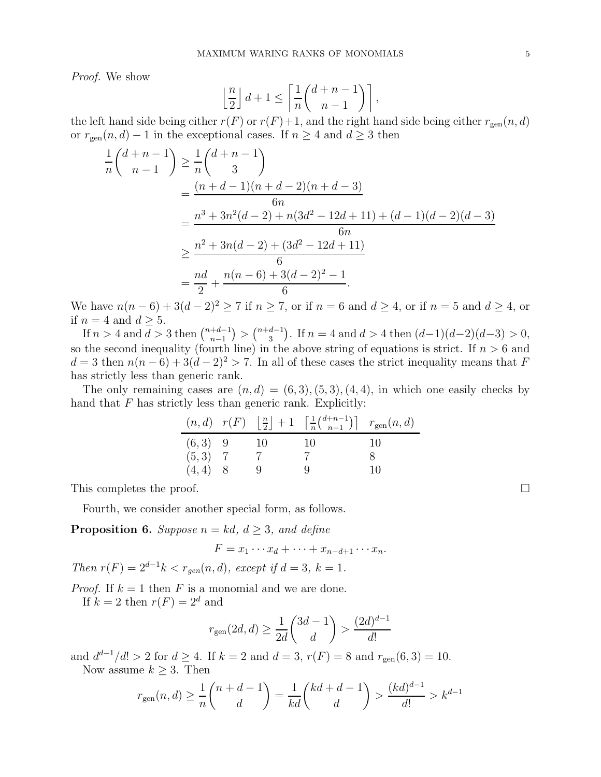*Proof.* We show

$$
\left\lfloor \frac{n}{2} \right\rfloor d + 1 \le \left\lceil \frac{1}{n} {d + n - 1 \choose n - 1} \right\rceil,
$$

the left hand side being either  $r(F)$  or  $r(F)+1$ , and the right hand side being either  $r_{gen}(n, d)$ or  $r_{gen}(n, d) - 1$  in the exceptional cases. If  $n \geq 4$  and  $d \geq 3$  then

$$
\frac{1}{n} \binom{d+n-1}{n-1} \ge \frac{1}{n} \binom{d+n-1}{3}
$$
\n
$$
= \frac{(n+d-1)(n+d-2)(n+d-3)}{6n}
$$
\n
$$
= \frac{n^3 + 3n^2(d-2) + n(3d^2 - 12d + 11) + (d-1)(d-2)(d-3)}{6n}
$$
\n
$$
\ge \frac{n^2 + 3n(d-2) + (3d^2 - 12d + 11)}{6}
$$
\n
$$
= \frac{nd}{2} + \frac{n(n-6) + 3(d-2)^2 - 1}{6}.
$$

We have  $n(n-6) + 3(d-2)^2 \ge 7$  if  $n \ge 7$ , or if  $n = 6$  and  $d \ge 4$ , or if  $n = 5$  and  $d \ge 4$ , or if  $n = 4$  and  $d \geq 5$ .

If  $n > 4$  and  $\overline{d} > 3$  then  $\binom{n+d-1}{n-1}$  $\binom{+d-1}{n-1}$  >  $\binom{n+d-1}{3}$  $\binom{d-1}{3}$ . If  $n = 4$  and  $d > 4$  then  $(d-1)(d-2)(d-3) > 0$ , so the second inequality (fourth line) in the above string of equations is strict. If  $n > 6$  and  $d = 3$  then  $n(n-6) + 3(d-2)^2 > 7$ . In all of these cases the strict inequality means that F has strictly less than generic rank.

The only remaining cases are  $(n, d) = (6, 3), (5, 3), (4, 4)$ , in which one easily checks by hand that  $F$  has strictly less than generic rank. Explicitly:

|           |      | $(n,d)$ $r(F)$ $\lfloor \frac{n}{2} \rfloor + 1$ $\lceil \frac{1}{n} {d+n-1 \choose n-1} \rceil$ $r_{gen}(n,d)$ |               |
|-----------|------|-----------------------------------------------------------------------------------------------------------------|---------------|
| $(6,3)$ 9 | - 10 | -10                                                                                                             | <sup>10</sup> |
| $(5,3)$ 7 |      |                                                                                                                 |               |
| $(4,4)$ 8 |      |                                                                                                                 | 10            |

This completes the proof.

Fourth, we consider another special form, as follows.

**Proposition 6.** Suppose  $n = kd$ ,  $d \geq 3$ , and define

$$
F = x_1 \cdots x_d + \cdots + x_{n-d+1} \cdots x_n.
$$

*Then*  $r(F) = 2^{d-1}k < r_{gen}(n, d)$ *, except if*  $d = 3$ *,*  $k = 1$ *.* 

*Proof.* If  $k = 1$  then F is a monomial and we are done. If  $k = 2$  then  $r(F) = 2^d$  and

$$
r_{\text{gen}}(2d,d) \geq \frac{1}{2d}\binom{3d-1}{d} > \frac{(2d)^{d-1}}{d!}
$$

and  $d^{d-1}/d! > 2$  for  $d \ge 4$ . If  $k = 2$  and  $d = 3$ ,  $r(F) = 8$  and  $r_{gen}(6, 3) = 10$ .

Now assume  $k \geq 3$ . Then

$$
r_{\mathrm{gen}}(n,d)\geq \frac{1}{n}\binom{n+d-1}{d}=\frac{1}{kd}\binom{kd+d-1}{d}>\frac{(kd)^{d-1}}{d!}>k^{d-1}
$$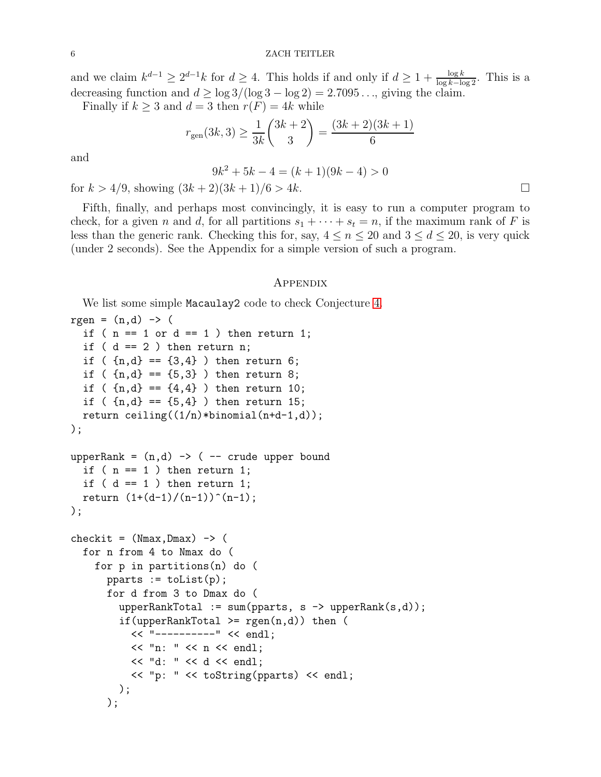and we claim  $k^{d-1} \geq 2^{d-1}k$  for  $d \geq 4$ . This holds if and only if  $d \geq 1 + \frac{\log k}{\log k - \log 2}$ . This is a decreasing function and  $d \geq \log 3/(\log 3 - \log 2) = 2.7095...$ , giving the claim.

Finally if  $k \geq 3$  and  $d = 3$  then  $r(F) = 4k$  while

$$
r_{\text{gen}}(3k,3) \ge \frac{1}{3k} {3k+2 \choose 3} = \frac{(3k+2)(3k+1)}{6}
$$

and

$$
9k^2 + 5k - 4 = (k+1)(9k-4) > 0
$$

for  $k > 4/9$ , showing  $(3k+2)(3k+1)/6 > 4k$ .

Fifth, finally, and perhaps most convincingly, it is easy to run a computer program to check, for a given n and d, for all partitions  $s_1 + \cdots + s_t = n$ , if the maximum rank of F is less than the generic rank. Checking this for, say,  $4 \leq n \leq 20$  and  $3 \leq d \leq 20$ , is very quick (under 2 seconds). See the Appendix for a simple version of such a program.

### Appendix

We list some simple Macaulay2 code to check Conjecture [4.](#page-3-0)

```
rgen = (n,d) \rightarrow (if ( n == 1 or d == 1 ) then return 1;
  if (d == 2) then return n;
  if (\{n,d\} == \{3,4\}) then return 6;
  if ( {n,d} == {5,3} ) then return 8;
  if (\{n,d\} == \{4,4\}) then return 10;
  if ( {n,d} == {5,4} ) then return 15;
  return ceiling((1/n)*binomial(n+d-1,d)););
upperRank = (n,d) -> ( -- crude upper bound
  if ( n == 1 ) then return 1;
  if ( d == 1 ) then return 1;
  return (1+(d-1)/(n-1))^-(n-1);
);
checkit = (Nmax, Dmax) -> (for n from 4 to Nmax do (
    for p in partitions(n) do (
      pparts := tolist(p);for d from 3 to Dmax do (
        upperRankTotal := sum(pparts, s \rightarrow upperRank(s, d));if(upperRankTotal >= rgen(n,d)) then (
          << "----------" << endl;
          << "n: " << n << endl;
          << "d: " << d << end1;<< "p: " << toString(pparts) << endl;
        );
      );
```